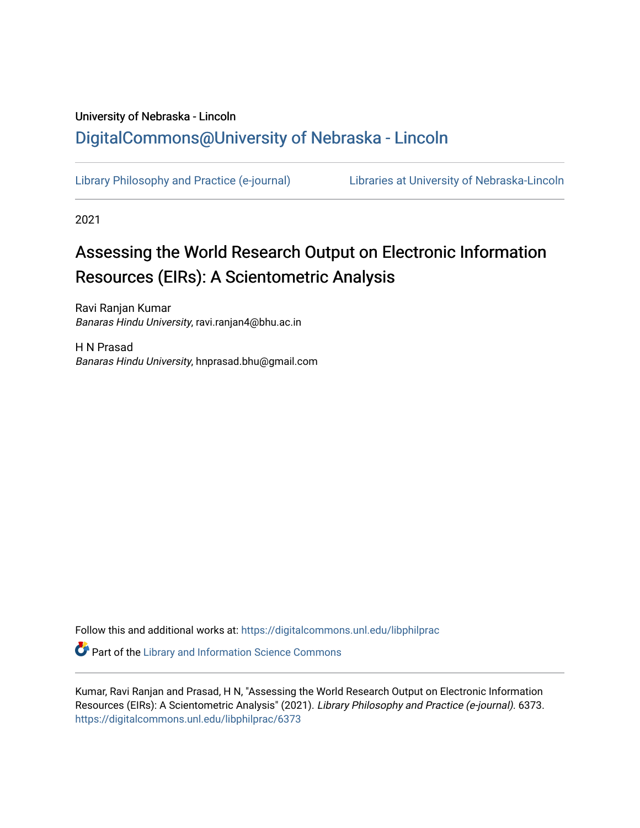## University of Nebraska - Lincoln [DigitalCommons@University of Nebraska - Lincoln](https://digitalcommons.unl.edu/)

[Library Philosophy and Practice \(e-journal\)](https://digitalcommons.unl.edu/libphilprac) [Libraries at University of Nebraska-Lincoln](https://digitalcommons.unl.edu/libraries) 

2021

# Assessing the World Research Output on Electronic Information Resources (EIRs): A Scientometric Analysis

Ravi Ranjan Kumar Banaras Hindu University, ravi.ranjan4@bhu.ac.in

H N Prasad Banaras Hindu University, hnprasad.bhu@gmail.com

Follow this and additional works at: [https://digitalcommons.unl.edu/libphilprac](https://digitalcommons.unl.edu/libphilprac?utm_source=digitalcommons.unl.edu%2Flibphilprac%2F6373&utm_medium=PDF&utm_campaign=PDFCoverPages) 

**C** Part of the Library and Information Science Commons

Kumar, Ravi Ranjan and Prasad, H N, "Assessing the World Research Output on Electronic Information Resources (EIRs): A Scientometric Analysis" (2021). Library Philosophy and Practice (e-journal). 6373. [https://digitalcommons.unl.edu/libphilprac/6373](https://digitalcommons.unl.edu/libphilprac/6373?utm_source=digitalcommons.unl.edu%2Flibphilprac%2F6373&utm_medium=PDF&utm_campaign=PDFCoverPages)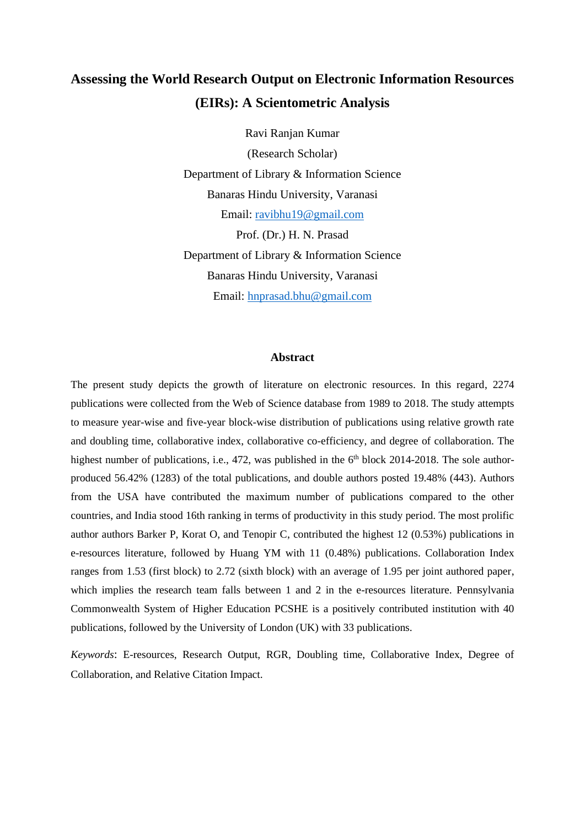## **Assessing the World Research Output on Electronic Information Resources (EIRs): A Scientometric Analysis**

Ravi Ranjan Kumar (Research Scholar) Department of Library & Information Science Banaras Hindu University, Varanasi Email: [ravibhu19@gmail.com](mailto:ravibhu19@gmail.com) Prof. (Dr.) H. N. Prasad Department of Library & Information Science Banaras Hindu University, Varanasi Email: [hnprasad.bhu@gmail.com](mailto:hnprasad.bhu@gmail.com)

#### **Abstract**

The present study depicts the growth of literature on electronic resources. In this regard, 2274 publications were collected from the Web of Science database from 1989 to 2018. The study attempts to measure year-wise and five-year block-wise distribution of publications using relative growth rate and doubling time, collaborative index, collaborative co-efficiency, and degree of collaboration. The highest number of publications, i.e., 472, was published in the 6<sup>th</sup> block 2014-2018. The sole authorproduced 56.42% (1283) of the total publications, and double authors posted 19.48% (443). Authors from the USA have contributed the maximum number of publications compared to the other countries, and India stood 16th ranking in terms of productivity in this study period. The most prolific author authors Barker P, Korat O, and Tenopir C, contributed the highest 12 (0.53%) publications in e-resources literature, followed by Huang YM with 11 (0.48%) publications. Collaboration Index ranges from 1.53 (first block) to 2.72 (sixth block) with an average of 1.95 per joint authored paper, which implies the research team falls between 1 and 2 in the e-resources literature. Pennsylvania Commonwealth System of Higher Education PCSHE is a positively contributed institution with 40 publications, followed by the University of London (UK) with 33 publications.

*Keywords*: E-resources, Research Output, RGR, Doubling time, Collaborative Index, Degree of Collaboration, and Relative Citation Impact.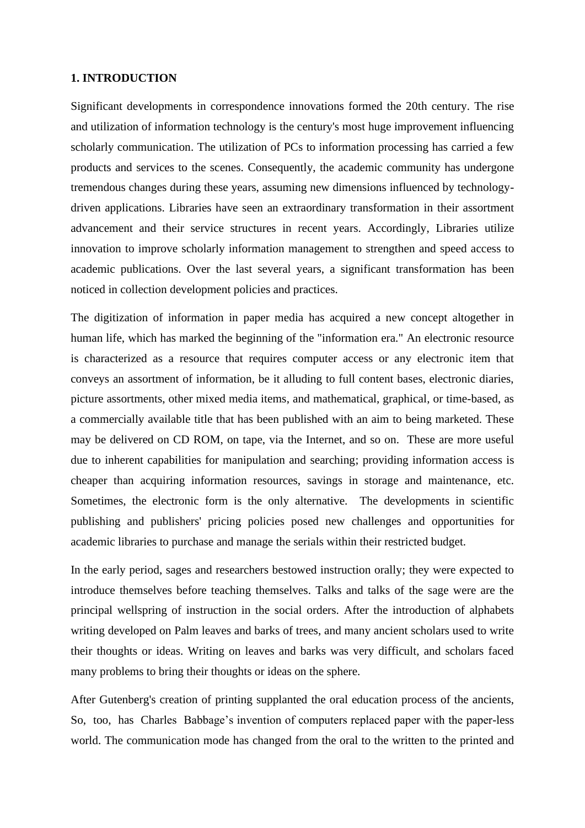## **1. INTRODUCTION**

Significant developments in correspondence innovations formed the 20th century. The rise and utilization of information technology is the century's most huge improvement influencing scholarly communication. The utilization of PCs to information processing has carried a few products and services to the scenes. Consequently, the academic community has undergone tremendous changes during these years, assuming new dimensions influenced by technologydriven applications. Libraries have seen an extraordinary transformation in their assortment advancement and their service structures in recent years. Accordingly, Libraries utilize innovation to improve scholarly information management to strengthen and speed access to academic publications. Over the last several years, a significant transformation has been noticed in collection development policies and practices.

The digitization of information in paper media has acquired a new concept altogether in human life, which has marked the beginning of the "information era." An electronic resource is characterized as a resource that requires computer access or any electronic item that conveys an assortment of information, be it alluding to full content bases, electronic diaries, picture assortments, other mixed media items, and mathematical, graphical, or time-based, as a commercially available title that has been published with an aim to being marketed. These may be delivered on CD ROM, on tape, via the Internet, and so on. These are more useful due to inherent capabilities for manipulation and searching; providing information access is cheaper than acquiring information resources, savings in storage and maintenance, etc. Sometimes, the electronic form is the only alternative. The developments in scientific publishing and publishers' pricing policies posed new challenges and opportunities for academic libraries to purchase and manage the serials within their restricted budget.

In the early period, sages and researchers bestowed instruction orally; they were expected to introduce themselves before teaching themselves. Talks and talks of the sage were are the principal wellspring of instruction in the social orders. After the introduction of alphabets writing developed on Palm leaves and barks of trees, and many ancient scholars used to write their thoughts or ideas. Writing on leaves and barks was very difficult, and scholars faced many problems to bring their thoughts or ideas on the sphere.

After Gutenberg's creation of printing supplanted the oral education process of the ancients, So, too, has Charles Babbage's invention of computers replaced paper with the paper-less world. The communication mode has changed from the oral to the written to the printed and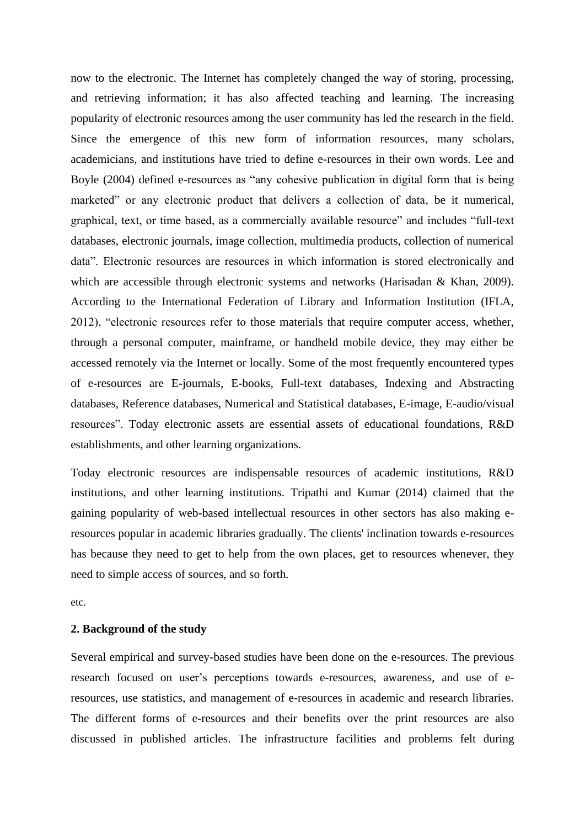now to the electronic. The Internet has completely changed the way of storing, processing, and retrieving information; it has also affected teaching and learning. The increasing popularity of electronic resources among the user community has led the research in the field. Since the emergence of this new form of information resources, many scholars, academicians, and institutions have tried to define e-resources in their own words. Lee and Boyle (2004) defined e-resources as "any cohesive publication in digital form that is being marketed" or any electronic product that delivers a collection of data, be it numerical, graphical, text, or time based, as a commercially available resource" and includes "full-text databases, electronic journals, image collection, multimedia products, collection of numerical data". Electronic resources are resources in which information is stored electronically and which are accessible through electronic systems and networks (Harisadan & Khan, 2009). According to the International Federation of Library and Information Institution (IFLA, 2012), "electronic resources refer to those materials that require computer access, whether, through a personal computer, mainframe, or handheld mobile device, they may either be accessed remotely via the Internet or locally. Some of the most frequently encountered types of e-resources are E-journals, E-books, Full-text databases, Indexing and Abstracting databases, Reference databases, Numerical and Statistical databases, E-image, E-audio/visual resources". Today electronic assets are essential assets of educational foundations, R&D establishments, and other learning organizations.

Today electronic resources are indispensable resources of academic institutions, R&D institutions, and other learning institutions. Tripathi and Kumar (2014) claimed that the gaining popularity of web-based intellectual resources in other sectors has also making eresources popular in academic libraries gradually. The clients' inclination towards e-resources has because they need to get to help from the own places, get to resources whenever, they need to simple access of sources, and so forth.

etc.

## **2. Background of the study**

Several empirical and survey-based studies have been done on the e-resources. The previous research focused on user's perceptions towards e-resources, awareness, and use of eresources, use statistics, and management of e-resources in academic and research libraries. The different forms of e-resources and their benefits over the print resources are also discussed in published articles. The infrastructure facilities and problems felt during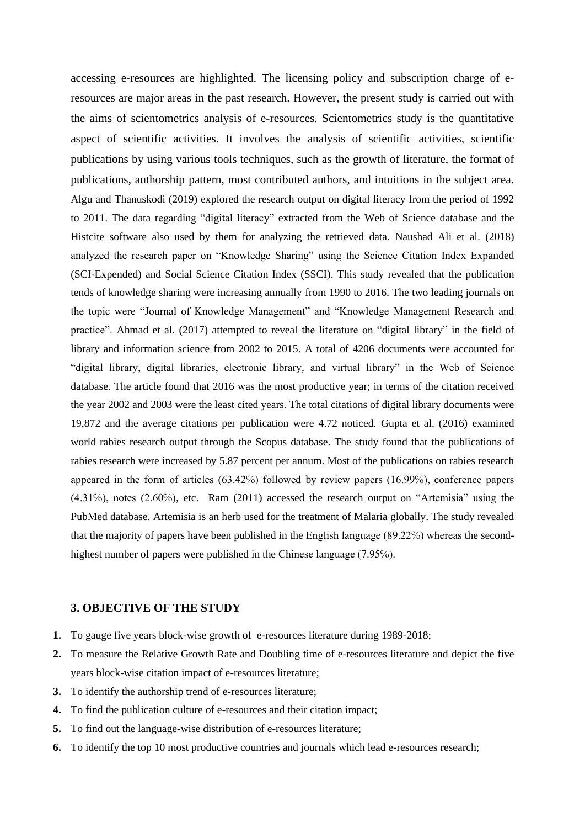accessing e-resources are highlighted. The licensing policy and subscription charge of eresources are major areas in the past research. However, the present study is carried out with the aims of scientometrics analysis of e-resources. Scientometrics study is the quantitative aspect of scientific activities. It involves the analysis of scientific activities, scientific publications by using various tools techniques, such as the growth of literature, the format of publications, authorship pattern, most contributed authors, and intuitions in the subject area. Algu and Thanuskodi (2019) explored the research output on digital literacy from the period of 1992 to 2011. The data regarding "digital literacy" extracted from the Web of Science database and the Histcite software also used by them for analyzing the retrieved data. Naushad Ali et al. (2018) analyzed the research paper on "Knowledge Sharing" using the Science Citation Index Expanded (SCI-Expended) and Social Science Citation Index (SSCI). This study revealed that the publication tends of knowledge sharing were increasing annually from 1990 to 2016. The two leading journals on the topic were "Journal of Knowledge Management" and "Knowledge Management Research and practice". Ahmad et al. (2017) attempted to reveal the literature on "digital library" in the field of library and information science from 2002 to 2015. A total of 4206 documents were accounted for "digital library, digital libraries, electronic library, and virtual library" in the Web of Science database. The article found that 2016 was the most productive year; in terms of the citation received the year 2002 and 2003 were the least cited years. The total citations of digital library documents were 19,872 and the average citations per publication were 4.72 noticed. Gupta et al. (2016) examined world rabies research output through the Scopus database. The study found that the publications of rabies research were increased by 5.87 percent per annum. Most of the publications on rabies research appeared in the form of articles (63.42℅) followed by review papers (16.99℅), conference papers (4.31℅), notes (2.60℅), etc. Ram (2011) accessed the research output on "Artemisia" using the PubMed database. Artemisia is an herb used for the treatment of Malaria globally. The study revealed that the majority of papers have been published in the English language (89.22%) whereas the secondhighest number of papers were published in the Chinese language (7.95%).

## **3. OBJECTIVE OF THE STUDY**

- **1.** To gauge five years block-wise growth of e-resources literature during 1989-2018;
- **2.** To measure the Relative Growth Rate and Doubling time of e-resources literature and depict the five years block-wise citation impact of e-resources literature;
- **3.** To identify the authorship trend of e-resources literature;
- **4.** To find the publication culture of e-resources and their citation impact;
- **5.** To find out the language-wise distribution of e-resources literature;
- **6.** To identify the top 10 most productive countries and journals which lead e-resources research;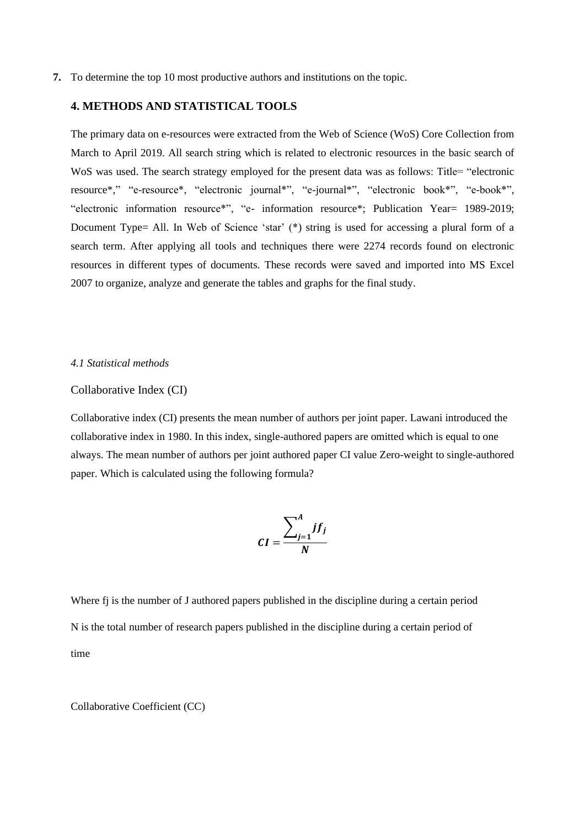**7.** To determine the top 10 most productive authors and institutions on the topic.

## **4. METHODS AND STATISTICAL TOOLS**

The primary data on e-resources were extracted from the Web of Science (WoS) Core Collection from March to April 2019. All search string which is related to electronic resources in the basic search of WoS was used. The search strategy employed for the present data was as follows: Title= "electronic resource\*," "e-resource\*, "electronic journal\*", "e-journal\*", "electronic book\*", "e-book\*", "electronic information resource\*", "e- information resource\*; Publication Year= 1989-2019; Document Type= All. In Web of Science 'star' (\*) string is used for accessing a plural form of a search term. After applying all tools and techniques there were 2274 records found on electronic resources in different types of documents. These records were saved and imported into MS Excel 2007 to organize, analyze and generate the tables and graphs for the final study.

### *4.1 Statistical methods*

#### Collaborative Index (CI)

Collaborative index (CI) presents the mean number of authors per joint paper. Lawani introduced the collaborative index in 1980. In this index, single-authored papers are omitted which is equal to one always. The mean number of authors per joint authored paper CI value Zero-weight to single-authored paper. Which is calculated using the following formula?

$$
CI = \frac{\sum_{j=1}^{A} jf_j}{N}
$$

Where f<sub>i</sub> is the number of J authored papers published in the discipline during a certain period N is the total number of research papers published in the discipline during a certain period of time

Collaborative Coefficient (CC)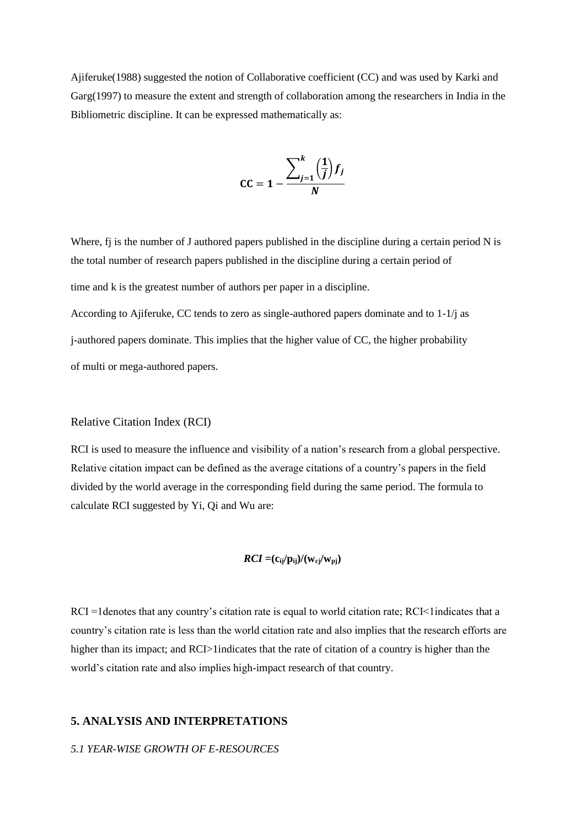Ajiferuke(1988) suggested the notion of Collaborative coefficient (CC) and was used by Karki and Garg(1997) to measure the extent and strength of collaboration among the researchers in India in the Bibliometric discipline. It can be expressed mathematically as:

$$
\mathsf{CC} = 1 - \frac{\sum_{j=1}^{k} \left(\frac{1}{j}\right) f_j}{N}
$$

Where, fj is the number of J authored papers published in the discipline during a certain period N is the total number of research papers published in the discipline during a certain period of time and k is the greatest number of authors per paper in a discipline.

According to Ajiferuke, CC tends to zero as single-authored papers dominate and to 1-1/j as j-authored papers dominate. This implies that the higher value of CC, the higher probability of multi or mega-authored papers.

## Relative Citation Index (RCI)

RCI is used to measure the influence and visibility of a nation's research from a global perspective. Relative citation impact can be defined as the average citations of a country's papers in the field divided by the world average in the corresponding field during the same period. The formula to calculate RCI suggested by Yi, Qi and Wu are:

$$
RCI = (c_{ij}/p_{ij})/(w_{cj}/w_{pj})
$$

 $RCI =1$  denotes that any country's citation rate is equal to world citation rate;  $RCI < 1$  indicates that a country's citation rate is less than the world citation rate and also implies that the research efforts are higher than its impact; and RCI>1indicates that the rate of citation of a country is higher than the world's citation rate and also implies high-impact research of that country.

## **5. ANALYSIS AND INTERPRETATIONS**

## *5.1 YEAR-WISE GROWTH OF E-RESOURCES*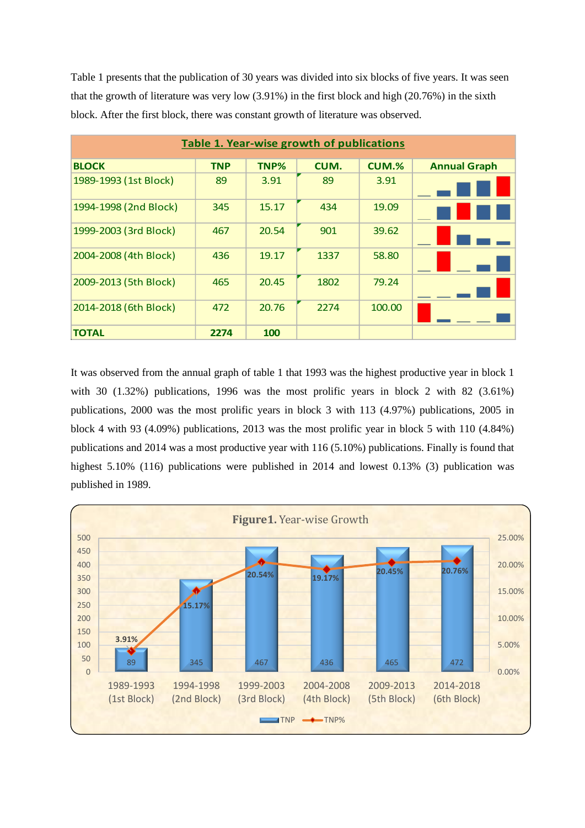Table 1 presents that the publication of 30 years was divided into six blocks of five years. It was seen that the growth of literature was very low (3.91%) in the first block and high (20.76%) in the sixth block. After the first block, there was constant growth of literature was observed.

| Table 1. Year-wise growth of publications |            |       |      |              |                     |  |  |  |
|-------------------------------------------|------------|-------|------|--------------|---------------------|--|--|--|
| <b>BLOCK</b>                              | <b>TNP</b> | TNP%  | CUM. | <b>CUM.%</b> | <b>Annual Graph</b> |  |  |  |
| 1989-1993 (1st Block)                     | 89         | 3.91  | 89   | 3.91         |                     |  |  |  |
| 1994-1998 (2nd Block)                     | 345        | 15.17 | 434  | 19.09        |                     |  |  |  |
| 1999-2003 (3rd Block)                     | 467        | 20.54 | 901  | 39.62        |                     |  |  |  |
| 2004-2008 (4th Block)                     | 436        | 19.17 | 1337 | 58.80        |                     |  |  |  |
| 2009-2013 (5th Block)                     | 465        | 20.45 | 1802 | 79.24        |                     |  |  |  |
| 2014-2018 (6th Block)                     | 472        | 20.76 | 2274 | 100.00       |                     |  |  |  |
| TOTAL                                     | 2274       | 100   |      |              |                     |  |  |  |

It was observed from the annual graph of table 1 that 1993 was the highest productive year in block 1 with 30 (1.32%) publications, 1996 was the most prolific years in block 2 with 82 (3.61%) publications, 2000 was the most prolific years in block 3 with 113 (4.97%) publications, 2005 in block 4 with 93 (4.09%) publications, 2013 was the most prolific year in block 5 with 110 (4.84%) publications and 2014 was a most productive year with 116 (5.10%) publications. Finally is found that highest 5.10% (116) publications were published in 2014 and lowest 0.13% (3) publication was published in 1989.

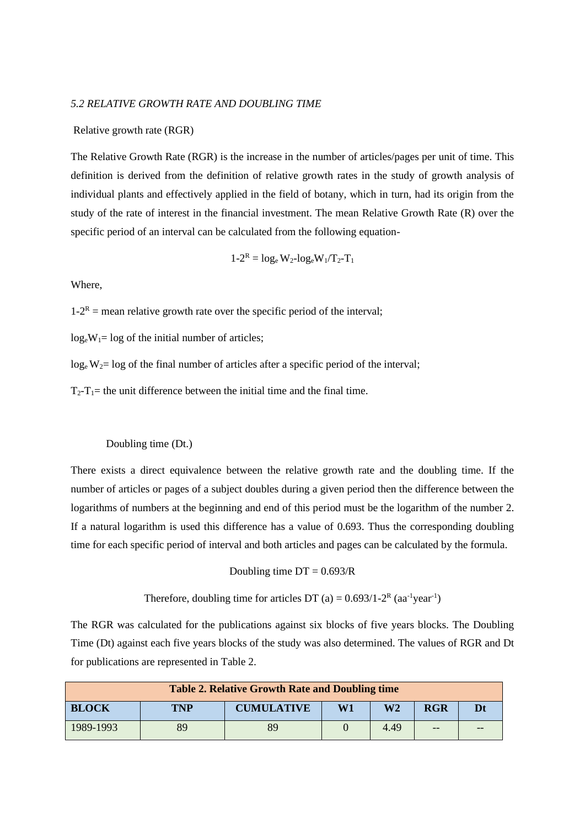### *5.2 RELATIVE GROWTH RATE AND DOUBLING TIME*

#### Relative growth rate (RGR)

The Relative Growth Rate (RGR) is the increase in the number of articles/pages per unit of time. This definition is derived from the definition of relative growth rates in the study of growth analysis of individual plants and effectively applied in the field of botany, which in turn, had its origin from the study of the rate of interest in the financial investment. The mean Relative Growth Rate (R) over the specific period of an interval can be calculated from the following equation-

$$
1 - 2^R = log_e W_2 - log_e W_1 / T_2 - T_1
$$

Where,

 $1-2^R$  = mean relative growth rate over the specific period of the interval;

 $log_e W_1 = log of the initial number of articles;$ 

 $log_e W_2 = log of the final number of articles after a specific period of the interval;$ 

 $T_2 - T_1$  the unit difference between the initial time and the final time.

#### Doubling time (Dt.)

There exists a direct equivalence between the relative growth rate and the doubling time. If the number of articles or pages of a subject doubles during a given period then the difference between the logarithms of numbers at the beginning and end of this period must be the logarithm of the number 2. If a natural logarithm is used this difference has a value of 0.693. Thus the corresponding doubling time for each specific period of interval and both articles and pages can be calculated by the formula.

Doubling time  $DT = 0.693/R$ 

Therefore, doubling time for articles DT (a) =  $0.693/1-2^R$  (aa<sup>-1</sup>year<sup>-1</sup>)

The RGR was calculated for the publications against six blocks of five years blocks. The Doubling Time (Dt) against each five years blocks of the study was also determined. The values of RGR and Dt for publications are represented in Table 2.

| <b>Table 2. Relative Growth Rate and Doubling time</b> |            |                   |    |      |            |  |  |  |
|--------------------------------------------------------|------------|-------------------|----|------|------------|--|--|--|
| <b>BLOCK</b>                                           | <b>TNP</b> | <b>CUMULATIVE</b> | W1 | W2   | <b>RGR</b> |  |  |  |
| 1989-1993                                              | 89         | 89                |    | 4.49 | --         |  |  |  |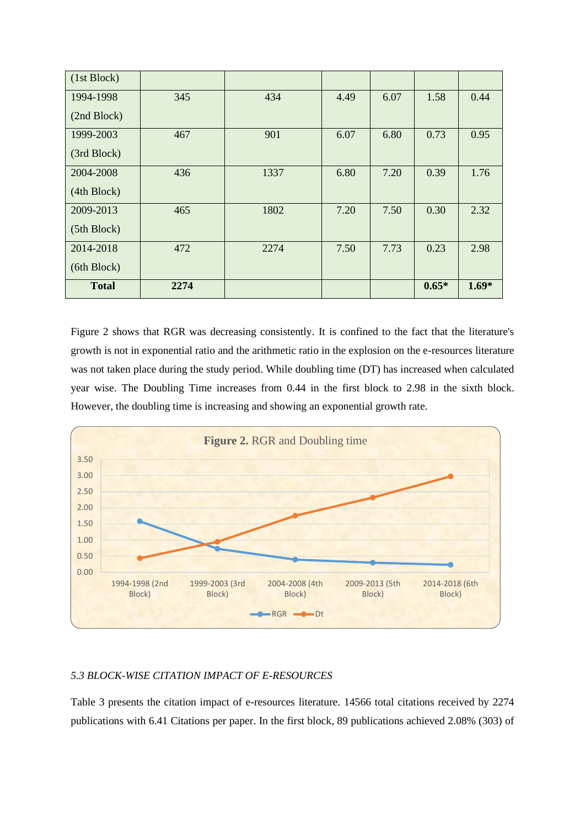| (1st Block)  |      |      |      |      |         |         |
|--------------|------|------|------|------|---------|---------|
| 1994-1998    | 345  | 434  | 4.49 | 6.07 | 1.58    | 0.44    |
| (2nd Block)  |      |      |      |      |         |         |
| 1999-2003    | 467  | 901  | 6.07 | 6.80 | 0.73    | 0.95    |
| (3rd Block)  |      |      |      |      |         |         |
| 2004-2008    | 436  | 1337 | 6.80 | 7.20 | 0.39    | 1.76    |
| (4th Block)  |      |      |      |      |         |         |
| 2009-2013    | 465  | 1802 | 7.20 | 7.50 | 0.30    | 2.32    |
| (5th Block)  |      |      |      |      |         |         |
| 2014-2018    | 472  | 2274 | 7.50 | 7.73 | 0.23    | 2.98    |
| (6th Block)  |      |      |      |      |         |         |
| <b>Total</b> | 2274 |      |      |      | $0.65*$ | $1.69*$ |

Figure 2 shows that RGR was decreasing consistently. It is confined to the fact that the literature's growth is not in exponential ratio and the arithmetic ratio in the explosion on the e-resources literature was not taken place during the study period. While doubling time (DT) has increased when calculated year wise. The Doubling Time increases from 0.44 in the first block to 2.98 in the sixth block. However, the doubling time is increasing and showing an exponential growth rate.



## *5.3 BLOCK-WISE CITATION IMPACT OF E-RESOURCES*

Table 3 presents the citation impact of e-resources literature. 14566 total citations received by 2274 publications with 6.41 Citations per paper. In the first block, 89 publications achieved 2.08% (303) of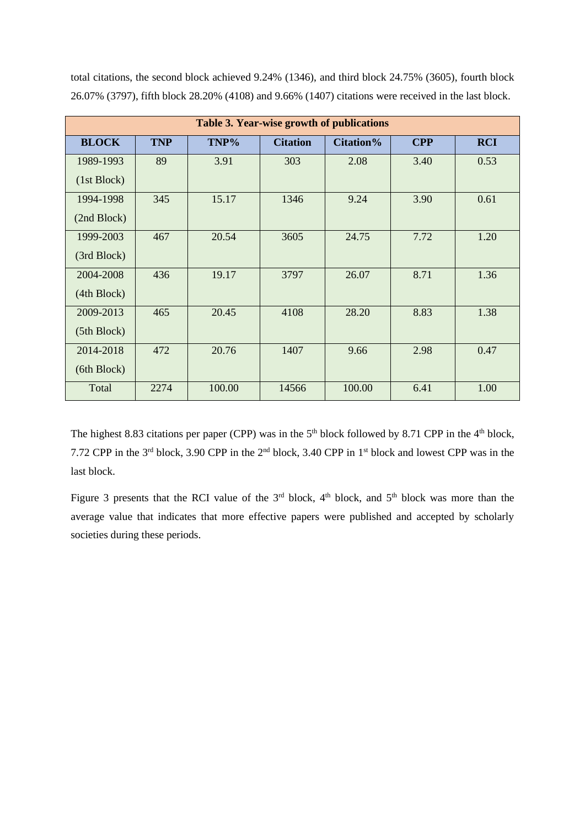| Table 3. Year-wise growth of publications |            |        |                 |           |            |            |  |  |  |
|-------------------------------------------|------------|--------|-----------------|-----------|------------|------------|--|--|--|
| <b>BLOCK</b>                              | <b>TNP</b> | TNP%   | <b>Citation</b> | Citation% | <b>CPP</b> | <b>RCI</b> |  |  |  |
| 1989-1993                                 | 89         | 3.91   | 303             | 2.08      | 3.40       | 0.53       |  |  |  |
| (1st Block)                               |            |        |                 |           |            |            |  |  |  |
| 1994-1998                                 | 345        | 15.17  | 1346            | 9.24      | 3.90       | 0.61       |  |  |  |
| (2nd Block)                               |            |        |                 |           |            |            |  |  |  |
| 1999-2003                                 | 467        | 20.54  | 3605            | 24.75     | 7.72       | 1.20       |  |  |  |
| (3rd Block)                               |            |        |                 |           |            |            |  |  |  |
| 2004-2008                                 | 436        | 19.17  | 3797            | 26.07     | 8.71       | 1.36       |  |  |  |
| (4th Block)                               |            |        |                 |           |            |            |  |  |  |
| 2009-2013                                 | 465        | 20.45  | 4108            | 28.20     | 8.83       | 1.38       |  |  |  |
| (5th Block)                               |            |        |                 |           |            |            |  |  |  |
| 2014-2018                                 | 472        | 20.76  | 1407            | 9.66      | 2.98       | 0.47       |  |  |  |
| (6th Block)                               |            |        |                 |           |            |            |  |  |  |
| Total                                     | 2274       | 100.00 | 14566           | 100.00    | 6.41       | 1.00       |  |  |  |

total citations, the second block achieved 9.24% (1346), and third block 24.75% (3605), fourth block 26.07% (3797), fifth block 28.20% (4108) and 9.66% (1407) citations were received in the last block.

The highest 8.83 citations per paper (CPP) was in the  $5<sup>th</sup>$  block followed by 8.71 CPP in the  $4<sup>th</sup>$  block, 7.72 CPP in the 3 rd block, 3.90 CPP in the 2 nd block, 3.40 CPP in 1st block and lowest CPP was in the last block.

Figure 3 presents that the RCI value of the  $3<sup>rd</sup>$  block,  $4<sup>th</sup>$  block, and  $5<sup>th</sup>$  block was more than the average value that indicates that more effective papers were published and accepted by scholarly societies during these periods.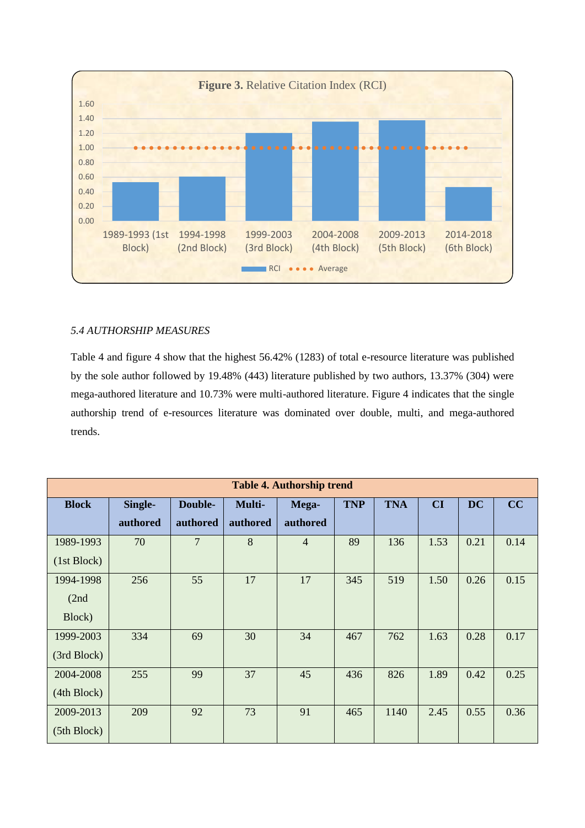

## *5.4 AUTHORSHIP MEASURES*

Table 4 and figure 4 show that the highest 56.42% (1283) of total e-resource literature was published by the sole author followed by 19.48% (443) literature published by two authors, 13.37% (304) were mega-authored literature and 10.73% were multi-authored literature. Figure 4 indicates that the single authorship trend of e-resources literature was dominated over double, multi, and mega-authored trends.

|              | <b>Table 4. Authorship trend</b> |                |          |                |            |            |      |           |      |  |
|--------------|----------------------------------|----------------|----------|----------------|------------|------------|------|-----------|------|--|
| <b>Block</b> | Single-                          | Double-        | Multi-   | Mega-          | <b>TNP</b> | <b>TNA</b> | CI   | <b>DC</b> | CC   |  |
|              | authored                         | authored       | authored | authored       |            |            |      |           |      |  |
| 1989-1993    | 70                               | $\overline{7}$ | 8        | $\overline{4}$ | 89         | 136        | 1.53 | 0.21      | 0.14 |  |
| (1st Block)  |                                  |                |          |                |            |            |      |           |      |  |
| 1994-1998    | 256                              | 55             | 17       | 17             | 345        | 519        | 1.50 | 0.26      | 0.15 |  |
| (2nd)        |                                  |                |          |                |            |            |      |           |      |  |
| Block)       |                                  |                |          |                |            |            |      |           |      |  |
| 1999-2003    | 334                              | 69             | 30       | 34             | 467        | 762        | 1.63 | 0.28      | 0.17 |  |
| (3rd Block)  |                                  |                |          |                |            |            |      |           |      |  |
| 2004-2008    | 255                              | 99             | 37       | 45             | 436        | 826        | 1.89 | 0.42      | 0.25 |  |
| (4th Block)  |                                  |                |          |                |            |            |      |           |      |  |
| 2009-2013    | 209                              | 92             | 73       | 91             | 465        | 1140       | 2.45 | 0.55      | 0.36 |  |
| (5th Block)  |                                  |                |          |                |            |            |      |           |      |  |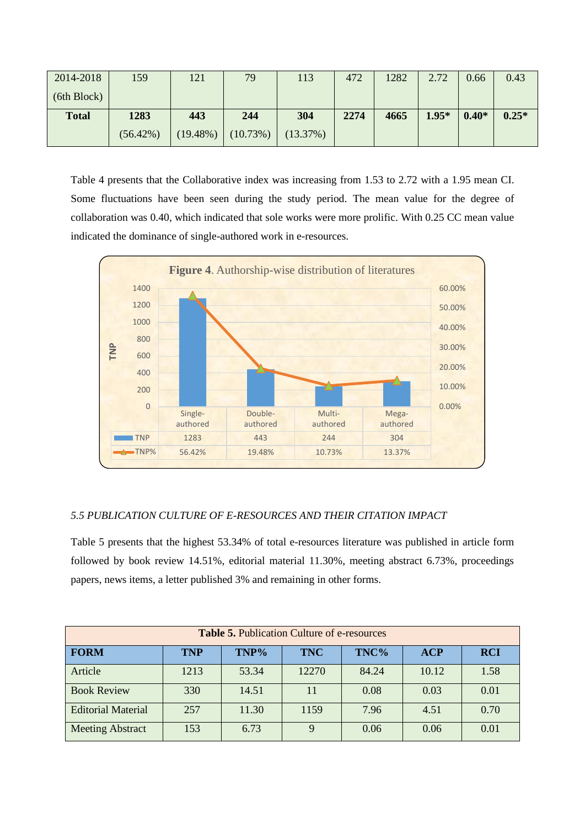| 2014-2018    | 159         | 121         | 79       | 113      | 472  | 1282 | 2.72    | 0.66    | 0.43    |
|--------------|-------------|-------------|----------|----------|------|------|---------|---------|---------|
| (6th Block)  |             |             |          |          |      |      |         |         |         |
| <b>Total</b> | 1283        | 443         | 244      | 304      | 2274 | 4665 | $1.95*$ | $0.40*$ | $0.25*$ |
|              | $(56.42\%)$ | $(19.48\%)$ | (10.73%) | (13.37%) |      |      |         |         |         |

Table 4 presents that the Collaborative index was increasing from 1.53 to 2.72 with a 1.95 mean CI. Some fluctuations have been seen during the study period. The mean value for the degree of collaboration was 0.40, which indicated that sole works were more prolific. With 0.25 CC mean value indicated the dominance of single-authored work in e-resources.



## *5.5 PUBLICATION CULTURE OF E-RESOURCES AND THEIR CITATION IMPACT*

Table 5 presents that the highest 53.34% of total e-resources literature was published in article form followed by book review 14.51%, editorial material 11.30%, meeting abstract 6.73%, proceedings papers, news items, a letter published 3% and remaining in other forms.

| <b>Table 5. Publication Culture of e-resources</b> |            |       |            |       |            |            |  |  |
|----------------------------------------------------|------------|-------|------------|-------|------------|------------|--|--|
| <b>FORM</b>                                        | <b>TNP</b> | TNP%  | <b>TNC</b> | TNC%  | <b>ACP</b> | <b>RCI</b> |  |  |
| Article                                            | 1213       | 53.34 | 12270      | 84.24 | 10.12      | 1.58       |  |  |
| <b>Book Review</b>                                 | 330        | 14.51 | 11         | 0.08  | 0.03       | 0.01       |  |  |
| <b>Editorial Material</b>                          | 257        | 11.30 | 1159       | 7.96  | 4.51       | 0.70       |  |  |
| <b>Meeting Abstract</b>                            | 153        | 6.73  | 9          | 0.06  | 0.06       | 0.01       |  |  |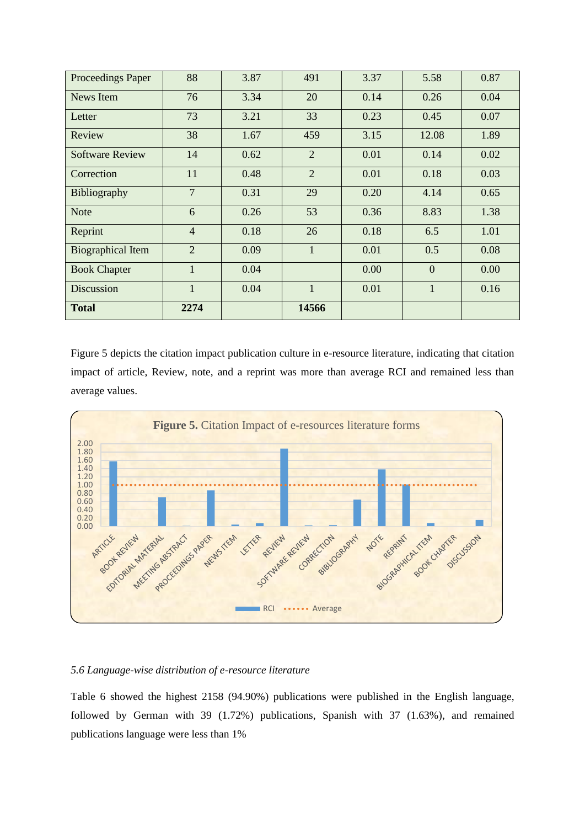| Proceedings Paper        | 88             | 3.87 | 491            | 3.37 | 5.58         | 0.87 |
|--------------------------|----------------|------|----------------|------|--------------|------|
| News Item                | 76             | 3.34 | 20             | 0.14 | 0.26         | 0.04 |
| Letter                   | 73             | 3.21 | 33             | 0.23 | 0.45         | 0.07 |
| Review                   | 38             | 1.67 | 459            | 3.15 | 12.08        | 1.89 |
| <b>Software Review</b>   | 14             | 0.62 | $\overline{2}$ | 0.01 | 0.14         | 0.02 |
| Correction               | 11             | 0.48 | $\overline{2}$ | 0.01 | 0.18         | 0.03 |
| Bibliography             | $\overline{7}$ | 0.31 | 29             | 0.20 | 4.14         | 0.65 |
| <b>Note</b>              | 6              | 0.26 | 53             | 0.36 | 8.83         | 1.38 |
| Reprint                  | $\overline{4}$ | 0.18 | 26             | 0.18 | 6.5          | 1.01 |
| <b>Biographical Item</b> | $\overline{2}$ | 0.09 | $\mathbf{1}$   | 0.01 | 0.5          | 0.08 |
| <b>Book Chapter</b>      | $\mathbf{1}$   | 0.04 |                | 0.00 | $\mathbf{0}$ | 0.00 |
| <b>Discussion</b>        | $\mathbf{1}$   | 0.04 | $\mathbf{1}$   | 0.01 | $\mathbf{1}$ | 0.16 |
| <b>Total</b>             | 2274           |      | 14566          |      |              |      |

Figure 5 depicts the citation impact publication culture in e-resource literature, indicating that citation impact of article, Review, note, and a reprint was more than average RCI and remained less than average values.



## *5.6 Language-wise distribution of e-resource literature*

Table 6 showed the highest 2158 (94.90%) publications were published in the English language, followed by German with 39 (1.72%) publications, Spanish with 37 (1.63%), and remained publications language were less than 1%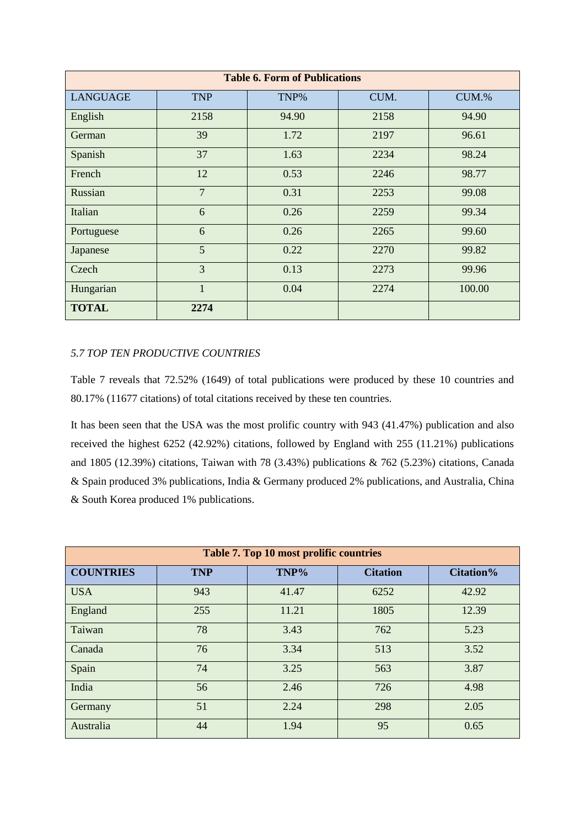|                 | <b>Table 6. Form of Publications</b> |       |      |        |  |  |  |  |
|-----------------|--------------------------------------|-------|------|--------|--|--|--|--|
| <b>LANGUAGE</b> | <b>TNP</b>                           | TNP%  | CUM. | CUM.%  |  |  |  |  |
| English         | 2158                                 | 94.90 | 2158 | 94.90  |  |  |  |  |
| German          | 39                                   | 1.72  | 2197 | 96.61  |  |  |  |  |
| Spanish         | 37                                   | 1.63  | 2234 | 98.24  |  |  |  |  |
| French          | 12                                   | 0.53  | 2246 | 98.77  |  |  |  |  |
| Russian         | $\overline{7}$                       | 0.31  | 2253 | 99.08  |  |  |  |  |
| Italian         | 6                                    | 0.26  | 2259 | 99.34  |  |  |  |  |
| Portuguese      | 6                                    | 0.26  | 2265 | 99.60  |  |  |  |  |
| Japanese        | 5                                    | 0.22  | 2270 | 99.82  |  |  |  |  |
| Czech           | $\overline{3}$                       | 0.13  | 2273 | 99.96  |  |  |  |  |
| Hungarian       | $\mathbf{1}$                         | 0.04  | 2274 | 100.00 |  |  |  |  |
| <b>TOTAL</b>    | 2274                                 |       |      |        |  |  |  |  |

## *5.7 TOP TEN PRODUCTIVE COUNTRIES*

Table 7 reveals that 72.52% (1649) of total publications were produced by these 10 countries and 80.17% (11677 citations) of total citations received by these ten countries.

It has been seen that the USA was the most prolific country with 943 (41.47%) publication and also received the highest 6252 (42.92%) citations, followed by England with 255 (11.21%) publications and 1805 (12.39%) citations, Taiwan with 78 (3.43%) publications & 762 (5.23%) citations, Canada & Spain produced 3% publications, India & Germany produced 2% publications, and Australia, China & South Korea produced 1% publications.

| <b>Table 7. Top 10 most prolific countries</b> |            |       |                 |                  |  |  |  |  |
|------------------------------------------------|------------|-------|-----------------|------------------|--|--|--|--|
| <b>COUNTRIES</b>                               | <b>TNP</b> | TNP%  | <b>Citation</b> | <b>Citation%</b> |  |  |  |  |
| <b>USA</b>                                     | 943        | 41.47 | 6252            | 42.92            |  |  |  |  |
| England                                        | 255        | 11.21 | 1805            | 12.39            |  |  |  |  |
| Taiwan                                         | 78         | 3.43  | 762             | 5.23             |  |  |  |  |
| Canada                                         | 76         | 3.34  | 513             | 3.52             |  |  |  |  |
| Spain                                          | 74         | 3.25  | 563             | 3.87             |  |  |  |  |
| India                                          | 56         | 2.46  | 726             | 4.98             |  |  |  |  |
| Germany                                        | 51         | 2.24  | 298             | 2.05             |  |  |  |  |
| Australia                                      | 44         | 1.94  | 95              | 0.65             |  |  |  |  |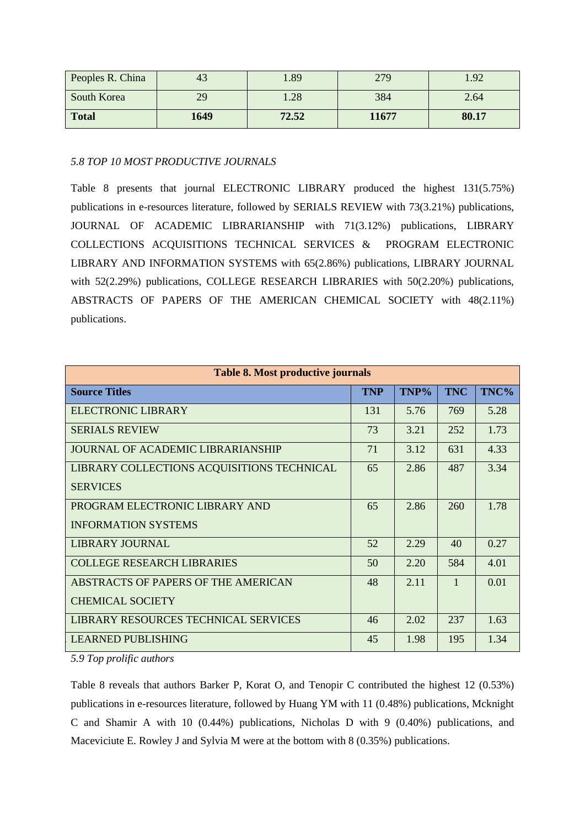| Peoples R. China | 43   | 1.89  | 279   | 1.92  |
|------------------|------|-------|-------|-------|
| South Korea      | 29   | 1.28  | 384   | 2.64  |
| <b>Total</b>     | 1649 | 72.52 | 11677 | 80.17 |

*5.8 TOP 10 MOST PRODUCTIVE JOURNALS*

Table 8 presents that journal ELECTRONIC LIBRARY produced the highest 131(5.75%) publications in e-resources literature, followed by SERIALS REVIEW with 73(3.21%) publications, JOURNAL OF ACADEMIC LIBRARIANSHIP with 71(3.12%) publications, LIBRARY COLLECTIONS ACQUISITIONS TECHNICAL SERVICES & PROGRAM ELECTRONIC LIBRARY AND INFORMATION SYSTEMS with 65(2.86%) publications, LIBRARY JOURNAL with 52(2.29%) publications, COLLEGE RESEARCH LIBRARIES with 50(2.20%) publications, ABSTRACTS OF PAPERS OF THE AMERICAN CHEMICAL SOCIETY with 48(2.11%) publications.

| <b>Table 8. Most productive journals</b>   |            |      |            |      |
|--------------------------------------------|------------|------|------------|------|
| <b>Source Titles</b>                       | <b>TNP</b> | TNP% | <b>TNC</b> | TNC% |
| ELECTRONIC LIBRARY                         | 131        | 5.76 | 769        | 5.28 |
| <b>SERIALS REVIEW</b>                      | 73         | 3.21 | 252        | 1.73 |
| <b>JOURNAL OF ACADEMIC LIBRARIANSHIP</b>   | 71         | 3.12 | 631        | 4.33 |
| LIBRARY COLLECTIONS ACQUISITIONS TECHNICAL | 65         | 2.86 | 487        | 3.34 |
| <b>SERVICES</b>                            |            |      |            |      |
| PROGRAM ELECTRONIC LIBRARY AND             | 65         | 2.86 | 260        | 1.78 |
| <b>INFORMATION SYSTEMS</b>                 |            |      |            |      |
| LIBRARY JOURNAL                            | 52         | 2.29 | 40         | 0.27 |
| <b>COLLEGE RESEARCH LIBRARIES</b>          | 50         | 2.20 | 584        | 4.01 |
| ABSTRACTS OF PAPERS OF THE AMERICAN        | 48         | 2.11 | 1          | 0.01 |
| <b>CHEMICAL SOCIETY</b>                    |            |      |            |      |
| LIBRARY RESOURCES TECHNICAL SERVICES       | 46         | 2.02 | 237        | 1.63 |
| LEARNED PUBLISHING                         | 45         | 1.98 | 195        | 1.34 |

*5.9 Top prolific authors* 

Table 8 reveals that authors Barker P, Korat O, and Tenopir C contributed the highest 12 (0.53%) publications in e-resources literature, followed by Huang YM with 11 (0.48%) publications, Mcknight C and Shamir A with 10 (0.44%) publications, Nicholas D with 9 (0.40%) publications, and Maceviciute E. Rowley J and Sylvia M were at the bottom with 8 (0.35%) publications.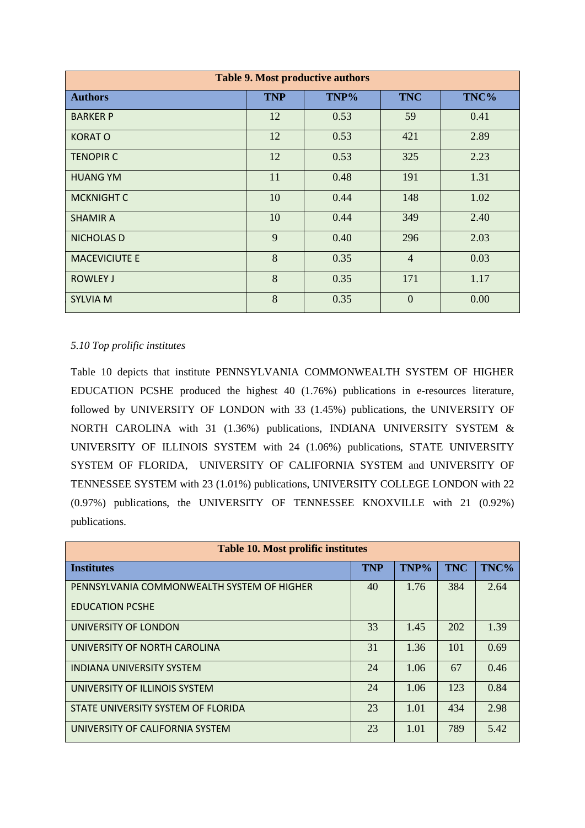| <b>Table 9. Most productive authors</b> |            |      |                |      |  |  |  |  |  |
|-----------------------------------------|------------|------|----------------|------|--|--|--|--|--|
| <b>Authors</b>                          | <b>TNP</b> | TNP% | <b>TNC</b>     | TNC% |  |  |  |  |  |
| <b>BARKER P</b>                         | 12         | 0.53 | 59             | 0.41 |  |  |  |  |  |
| <b>KORATO</b>                           | 12         | 0.53 | 421            | 2.89 |  |  |  |  |  |
| <b>TENOPIR C</b>                        | 12         | 0.53 | 325            | 2.23 |  |  |  |  |  |
| <b>HUANG YM</b>                         | 11         | 0.48 | 191            | 1.31 |  |  |  |  |  |
| <b>MCKNIGHT C</b>                       | 10         | 0.44 | 148            | 1.02 |  |  |  |  |  |
| <b>SHAMIR A</b>                         | 10         | 0.44 | 349            | 2.40 |  |  |  |  |  |
| <b>NICHOLAS D</b>                       | 9          | 0.40 | 296            | 2.03 |  |  |  |  |  |
| <b>MACEVICIUTE E</b>                    | 8          | 0.35 | $\overline{4}$ | 0.03 |  |  |  |  |  |
| <b>ROWLEY J</b>                         | 8          | 0.35 | 171            | 1.17 |  |  |  |  |  |
| <b>SYLVIA M</b>                         | 8          | 0.35 | $\overline{0}$ | 0.00 |  |  |  |  |  |

## *5.10 Top prolific institutes*

Table 10 depicts that institute PENNSYLVANIA COMMONWEALTH SYSTEM OF HIGHER EDUCATION PCSHE produced the highest 40 (1.76%) publications in e-resources literature, followed by UNIVERSITY OF LONDON with 33 (1.45%) publications, the UNIVERSITY OF NORTH CAROLINA with 31 (1.36%) publications, INDIANA UNIVERSITY SYSTEM & UNIVERSITY OF ILLINOIS SYSTEM with 24 (1.06%) publications, STATE UNIVERSITY SYSTEM OF FLORIDA, UNIVERSITY OF CALIFORNIA SYSTEM and UNIVERSITY OF TENNESSEE SYSTEM with 23 (1.01%) publications, UNIVERSITY COLLEGE LONDON with 22 (0.97%) publications, the UNIVERSITY OF TENNESSEE KNOXVILLE with 21 (0.92%) publications.

| <b>Table 10. Most prolific institutes</b>            |    |      |            |      |  |  |  |
|------------------------------------------------------|----|------|------------|------|--|--|--|
| <b>Institutes</b>                                    |    | TNP% | <b>TNC</b> | TNC% |  |  |  |
| PENNSYLVANIA COMMONWEALTH SYSTEM OF HIGHER           | 40 | 1.76 | 384        | 2.64 |  |  |  |
| <b>EDUCATION PCSHE</b>                               |    |      |            |      |  |  |  |
| UNIVERSITY OF LONDON<br>UNIVERSITY OF NORTH CAROLINA |    | 1.45 | 202        | 1.39 |  |  |  |
|                                                      |    | 1.36 | 101        | 0.69 |  |  |  |
| INDIANA UNIVERSITY SYSTEM                            |    | 1.06 | 67         | 0.46 |  |  |  |
| UNIVERSITY OF ILLINOIS SYSTEM                        |    | 1.06 | 123        | 0.84 |  |  |  |
| STATE UNIVERSITY SYSTEM OF FLORIDA                   |    | 1.01 | 434        | 2.98 |  |  |  |
| UNIVERSITY OF CALIFORNIA SYSTEM                      | 23 | 1.01 | 789        | 5.42 |  |  |  |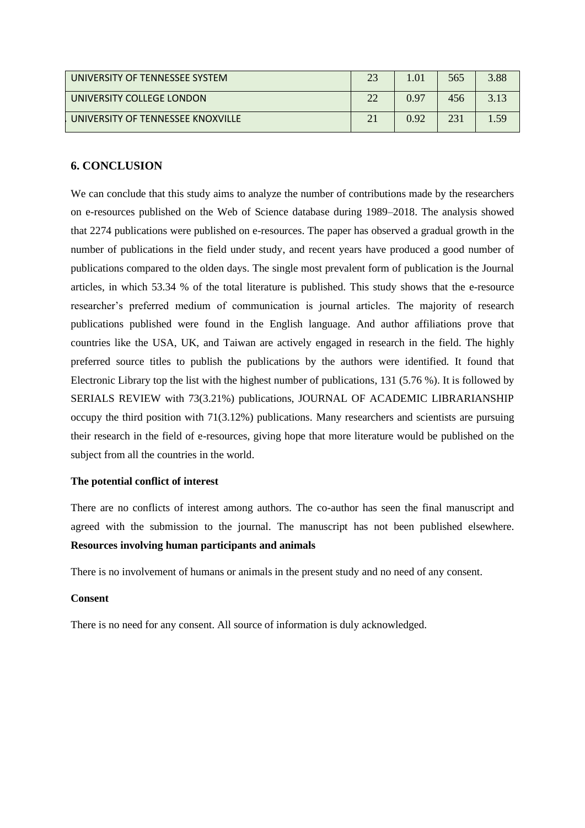| UNIVERSITY OF TENNESSEE SYSTEM    | 0 <sup>1</sup> | 565 | 3.88    |
|-----------------------------------|----------------|-----|---------|
| UNIVERSITY COLLEGE LONDON         | 0.97           | 456 | $2, 12$ |
| UNIVERSITY OF TENNESSEE KNOXVILLE | 0.92           | 23  | 50      |

## **6. CONCLUSION**

We can conclude that this study aims to analyze the number of contributions made by the researchers on e-resources published on the Web of Science database during 1989–2018. The analysis showed that 2274 publications were published on e-resources. The paper has observed a gradual growth in the number of publications in the field under study, and recent years have produced a good number of publications compared to the olden days. The single most prevalent form of publication is the Journal articles, in which 53.34 % of the total literature is published. This study shows that the e-resource researcher's preferred medium of communication is journal articles. The majority of research publications published were found in the English language. And author affiliations prove that countries like the USA, UK, and Taiwan are actively engaged in research in the field. The highly preferred source titles to publish the publications by the authors were identified. It found that Electronic Library top the list with the highest number of publications, 131 (5.76 %). It is followed by SERIALS REVIEW with 73(3.21%) publications, JOURNAL OF ACADEMIC LIBRARIANSHIP occupy the third position with 71(3.12%) publications. Many researchers and scientists are pursuing their research in the field of e-resources, giving hope that more literature would be published on the subject from all the countries in the world.

## **The potential conflict of interest**

There are no conflicts of interest among authors. The co-author has seen the final manuscript and agreed with the submission to the journal. The manuscript has not been published elsewhere. **Resources involving human participants and animals**

There is no involvement of humans or animals in the present study and no need of any consent.

## **Consent**

There is no need for any consent. All source of information is duly acknowledged.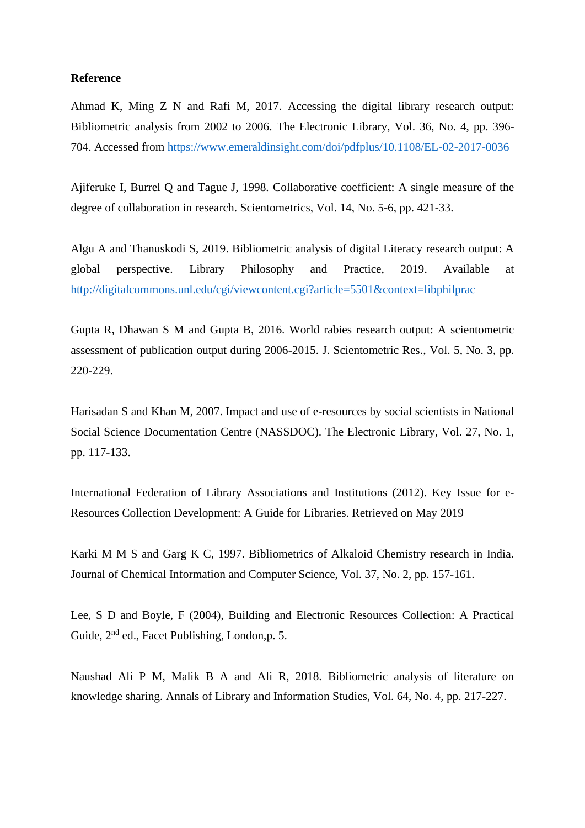## **Reference**

Ahmad K, Ming Z N and Rafi M, 2017. Accessing the digital library research output: Bibliometric analysis from 2002 to 2006. The Electronic Library*,* Vol. 36, No. 4, pp. 396- 704. Accessed from<https://www.emeraldinsight.com/doi/pdfplus/10.1108/EL-02-2017-0036>

Ajiferuke I, Burrel Q and Tague J, 1998. Collaborative coefficient: A single measure of the degree of collaboration in research. Scientometrics, Vol. 14, No. 5-6, pp. 421-33.

Algu A and Thanuskodi S, 2019. Bibliometric analysis of digital Literacy research output: A global perspective. Library Philosophy and Practice, 2019. Available at <http://digitalcommons.unl.edu/cgi/viewcontent.cgi?article=5501&context=libphilprac>

Gupta R, Dhawan S M and Gupta B, 2016. World rabies research output: A scientometric assessment of publication output during 2006-2015. J. Scientometric Res., Vol. 5, No. 3, pp. 220-229.

Harisadan S and Khan M, 2007. Impact and use of e-resources by social scientists in National Social Science Documentation Centre (NASSDOC). The Electronic Library, Vol. 27, No. 1, pp. 117-133.

International Federation of Library Associations and Institutions (2012). Key Issue for e-Resources Collection Development: A Guide for Libraries. Retrieved on May 2019

Karki M M S and Garg K C, 1997. Bibliometrics of Alkaloid Chemistry research in India. Journal of Chemical Information and Computer Science, Vol. 37, No. 2, pp. 157-161.

Lee, S D and Boyle, F (2004), Building and Electronic Resources Collection: A Practical Guide,  $2<sup>nd</sup>$  ed., Facet Publishing, London, p. 5.

Naushad Ali P M, Malik B A and Ali R, 2018. Bibliometric analysis of literature on knowledge sharing. Annals of Library and Information Studies, Vol. 64, No. 4, pp. 217-227.